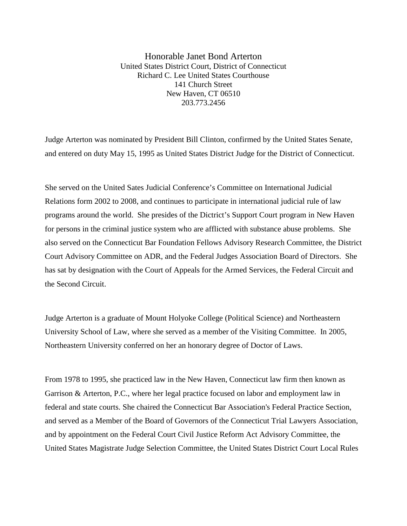Honorable Janet Bond Arterton United States District Court, District of Connecticut Richard C. Lee United States Courthouse 141 Church Street New Haven, CT 06510 203.773.2456

Judge Arterton was nominated by President Bill Clinton, confirmed by the United States Senate, and entered on duty May 15, 1995 as United States District Judge for the District of Connecticut.

She served on the United Sates Judicial Conference's Committee on International Judicial Relations form 2002 to 2008, and continues to participate in international judicial rule of law programs around the world. She presides of the Dictrict's Support Court program in New Haven for persons in the criminal justice system who are afflicted with substance abuse problems. She also served on the Connecticut Bar Foundation Fellows Advisory Research Committee, the District Court Advisory Committee on ADR, and the Federal Judges Association Board of Directors. She has sat by designation with the Court of Appeals for the Armed Services, the Federal Circuit and the Second Circuit.

Judge Arterton is a graduate of Mount Holyoke College (Political Science) and Northeastern University School of Law, where she served as a member of the Visiting Committee. In 2005, Northeastern University conferred on her an honorary degree of Doctor of Laws.

From 1978 to 1995, she practiced law in the New Haven, Connecticut law firm then known as Garrison & Arterton, P.C., where her legal practice focused on labor and employment law in federal and state courts. She chaired the Connecticut Bar Association's Federal Practice Section, and served as a Member of the Board of Governors of the Connecticut Trial Lawyers Association, and by appointment on the Federal Court Civil Justice Reform Act Advisory Committee, the United States Magistrate Judge Selection Committee, the United States District Court Local Rules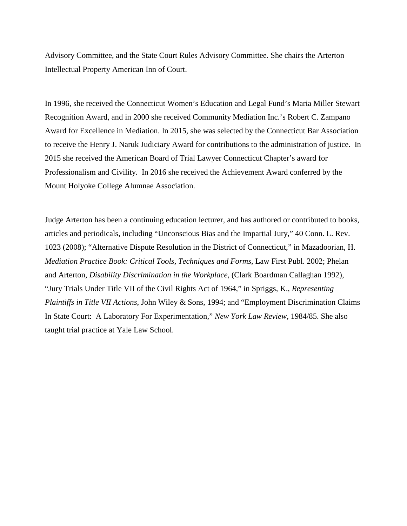Advisory Committee, and the State Court Rules Advisory Committee. She chairs the Arterton Intellectual Property American Inn of Court.

In 1996, she received the Connecticut Women's Education and Legal Fund's Maria Miller Stewart Recognition Award, and in 2000 she received Community Mediation Inc.'s Robert C. Zampano Award for Excellence in Mediation. In 2015, she was selected by the Connecticut Bar Association to receive the Henry J. Naruk Judiciary Award for contributions to the administration of justice. In 2015 she received the American Board of Trial Lawyer Connecticut Chapter's award for Professionalism and Civility. In 2016 she received the Achievement Award conferred by the Mount Holyoke College Alumnae Association.

Judge Arterton has been a continuing education lecturer, and has authored or contributed to books, articles and periodicals, including "Unconscious Bias and the Impartial Jury," 40 Conn. L. Rev. 1023 (2008); "Alternative Dispute Resolution in the District of Connecticut," in Mazadoorian, H. *Mediation Practice Book: Critical Tools, Techniques and Forms*, Law First Publ. 2002; Phelan and Arterton, *Disability Discrimination in the Workplace*, (Clark Boardman Callaghan 1992), "Jury Trials Under Title VII of the Civil Rights Act of 1964," in Spriggs, K., *Representing Plaintiffs in Title VII Actions*, John Wiley & Sons, 1994; and "Employment Discrimination Claims In State Court: A Laboratory For Experimentation," *New York Law Review*, 1984/85. She also taught trial practice at Yale Law School.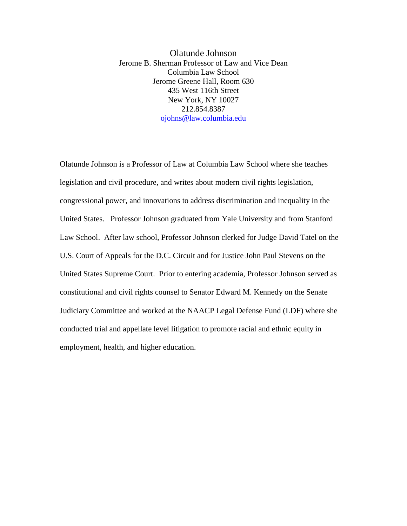Olatunde Johnson Jerome B. Sherman Professor of Law and Vice Dean Columbia Law School Jerome Greene Hall, Room 630 435 West 116th Street New York, NY 10027 212.854.8387 [ojohns@law.columbia.edu](mailto:ojohns@law.columbia.edu)

Olatunde Johnson is a Professor of Law at Columbia Law School where she teaches legislation and civil procedure, and writes about modern civil rights legislation, congressional power, and innovations to address discrimination and inequality in the United States. Professor Johnson graduated from Yale University and from Stanford Law School. After law school, Professor Johnson clerked for Judge David Tatel on the U.S. Court of Appeals for the D.C. Circuit and for Justice John Paul Stevens on the United States Supreme Court. Prior to entering academia, Professor Johnson served as constitutional and civil rights counsel to Senator Edward M. Kennedy on the Senate Judiciary Committee and worked at the NAACP Legal Defense Fund (LDF) where she conducted trial and appellate level litigation to promote racial and ethnic equity in employment, health, and higher education.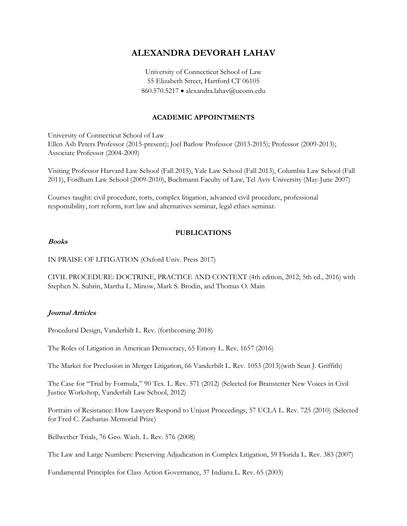# **ALEXANDRA DEVORAH LAHAV**

University of Connecticut School of Law 55 Elizabeth Street, Hartford CT 06105 860.570.5217 · alexandra.lahav@uconn.edu

# **ACADEMIC APPOINTMENTS**

University of Connecticut School of Law

Ellen Ash Peters Professor (2015-present); Joel Barlow Professor (2013-2015); Professor (2009-2013); Associate Professor (2004-2009)

Visiting Professor Harvard Law School (Fall 2015), Yale Law School (Fall 2013), Columbia Law School (Fall 2011), Fordham Law School (2009-2010), Buchmann Faculty of Law, Tel Aviv University (May-June 2007)

Courses taught: civil procedure, torts, complex litigation, advanced civil procedure, professional responsibility, tort reform, tort law and alternatives seminar, legal ethics seminar.

# **PUBLICATIONS**

### **Books**

IN PRAISE OF LITIGATION (Oxford Univ. Press 2017)

CIVIL PROCEDURE: DOCTRINE, PRACTICE AND CONTEXT (4th edition, 2012; 5th ed., 2016) with Stephen N. Subrin, Martha L. Minow, Mark S. Brodin, and Thomas O. Main

# **Journal Articles**

Procedural Design, Vanderbilt L. Rev. (forthcoming 2018)

The Roles of Litigation in American Democracy, 65 Emory L. Rev. 1657 (2016)

The Market for Preclusion in Merger Litigation, 66 Vanderbilt L. Rev. 1053 (2013)(with Sean J. Griffith)

The Case for "Trial by Formula," 90 Tex. L. Rev. 571 (2012) (Selected for Branstetter New Voices in Civil Justice Workshop, Vanderbilt Law School, 2012)

Portraits of Resistance: How Lawyers Respond to Unjust Proceedings, 57 UCLA L. Rev. 725 (2010) (Selected for Fred C. Zacharias Memorial Prize)

Bellwether Trials, 76 Geo. Wash. L. Rev. 576 (2008)

The Law and Large Numbers: Preserving Adjudication in Complex Litigation, 59 Florida L. Rev. 383 (2007)

Fundamental Principles for Class Action Governance, 37 Indiana L. Rev. 65 (2003)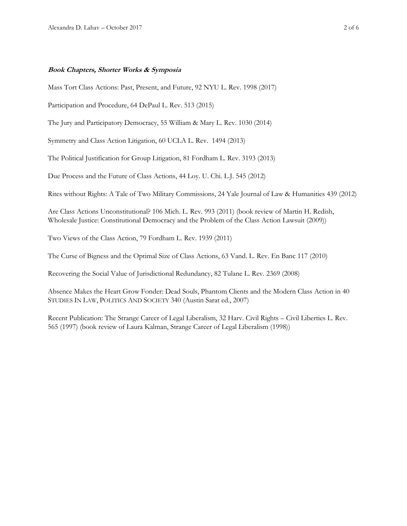#### **Book Chapters, Shorter Works & Symposia**

Mass Tort Class Actions: Past, Present, and Future, 92 NYU L. Rev. 1998 (2017)

Participation and Procedure, 64 DePaul L. Rev. 513 (2015)

The Jury and Participatory Democracy, 55 William & Mary L. Rev. 1030 (2014)

Symmetry and Class Action Litigation, 60 UCLA L. Rev. 1494 (2013)

The Political Justification for Group Litigation, 81 Fordham L. Rev. 3193 (2013)

Due Process and the Future of Class Actions, 44 Loy. U. Chi. L.J. 545 (2012)

Rites without Rights: A Tale of Two Military Commissions, 24 Yale Journal of Law & Humanities 439 (2012)

Are Class Actions Unconstitutional? 106 Mich. L. Rev. 993 (2011) (book review of Martin H. Redish, Wholesale Justice: Constitutional Democracy and the Problem of the Class Action Lawsuit (2009))

Two Views of the Class Action, 79 Fordham L. Rev. 1939 (2011)

The Curse of Bigness and the Optimal Size of Class Actions, 63 Vand. L. Rev. En Banc 117 (2010)

Recovering the Social Value of Jurisdictional Redundancy, 82 Tulane L. Rev. 2369 (2008)

Absence Makes the Heart Grow Fonder: Dead Souls, Phantom Clients and the Modern Class Action in 40 STUDIES IN LAW, POLITICS AND SOCIETY 340 (Austin Sarat ed., 2007)

Recent Publication: The Strange Career of Legal Liberalism, 32 Harv. Civil Rights – Civil Liberties L. Rev. 565 (1997) (book review of Laura Kalman, Strange Career of Legal Liberalism (1998))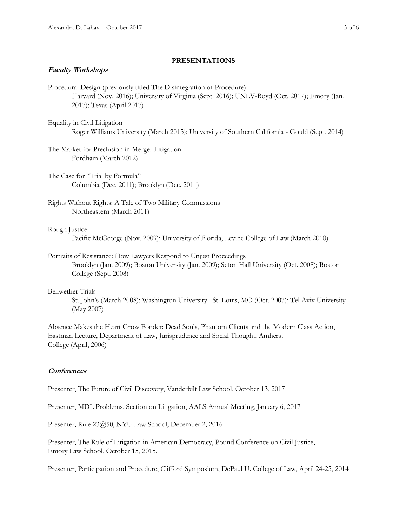### **PRESENTATIONS**

# **Faculty Workshops**

Procedural Design (previously titled The Disintegration of Procedure) Harvard (Nov. 2016); University of Virginia (Sept. 2016); UNLV-Boyd (Oct. 2017); Emory (Jan. 2017); Texas (April 2017)

Equality in Civil Litigation Roger Williams University (March 2015); University of Southern California - Gould (Sept. 2014)

The Market for Preclusion in Merger Litigation Fordham (March 2012)

The Case for "Trial by Formula" Columbia (Dec. 2011); Brooklyn (Dec. 2011)

### Rough Justice

Pacific McGeorge (Nov. 2009); University of Florida, Levine College of Law (March 2010)

Portraits of Resistance: How Lawyers Respond to Unjust Proceedings Brooklyn (Jan. 2009); Boston University (Jan. 2009); Seton Hall University (Oct. 2008); Boston College (Sept. 2008)

### Bellwether Trials

St. John's (March 2008); Washington University– St. Louis, MO (Oct. 2007); Tel Aviv University (May 2007)

Absence Makes the Heart Grow Fonder: Dead Souls, Phantom Clients and the Modern Class Action, Eastman Lecture, Department of Law, Jurisprudence and Social Thought, Amherst College (April, 2006)

# **Conferences**

Presenter, The Future of Civil Discovery, Vanderbilt Law School, October 13, 2017

Presenter, MDL Problems, Section on Litigation, AALS Annual Meeting, January 6, 2017

Presenter, Rule 23@50, NYU Law School, December 2, 2016

Presenter, The Role of Litigation in American Democracy, Pound Conference on Civil Justice, Emory Law School, October 15, 2015.

Presenter, Participation and Procedure, Clifford Symposium, DePaul U. College of Law, April 24-25, 2014

Rights Without Rights: A Tale of Two Military Commissions Northeastern (March 2011)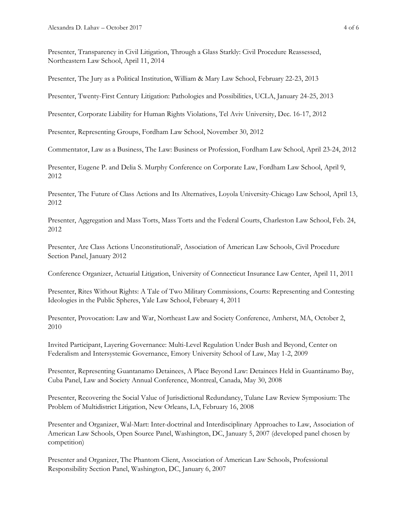Presenter, Transparency in Civil Litigation, Through a Glass Starkly: Civil Procedure Reassessed, Northeastern Law School, April 11, 2014

Presenter, The Jury as a Political Institution, William & Mary Law School, February 22-23, 2013

Presenter, Twenty-First Century Litigation: Pathologies and Possibilities, UCLA, January 24-25, 2013

Presenter, Corporate Liability for Human Rights Violations, Tel Aviv University, Dec. 16-17, 2012

Presenter, Representing Groups, Fordham Law School, November 30, 2012

Commentator, Law as a Business, The Law: Business or Profession, Fordham Law School, April 23-24, 2012

Presenter, Eugene P. and Delia S. Murphy Conference on Corporate Law, Fordham Law School, April 9, 2012

Presenter, The Future of Class Actions and Its Alternatives, Loyola University-Chicago Law School, April 13, 2012

Presenter, Aggregation and Mass Torts, Mass Torts and the Federal Courts, Charleston Law School, Feb. 24, 2012

Presenter, Are Class Actions Unconstitutional?, Association of American Law Schools, Civil Procedure Section Panel, January 2012

Conference Organizer, Actuarial Litigation, University of Connecticut Insurance Law Center, April 11, 2011

Presenter, Rites Without Rights: A Tale of Two Military Commissions, Courts: Representing and Contesting Ideologies in the Public Spheres, Yale Law School, February 4, 2011

Presenter, Provocation: Law and War, Northeast Law and Society Conference, Amherst, MA, October 2, 2010

Invited Participant, Layering Governance: Multi-Level Regulation Under Bush and Beyond, Center on Federalism and Intersystemic Governance, Emory University School of Law, May 1-2, 2009

Presenter, Representing Guantanamo Detainees, A Place Beyond Law: Detainees Held in Guantánamo Bay, Cuba Panel, Law and Society Annual Conference, Montreal, Canada, May 30, 2008

Presenter, Recovering the Social Value of Jurisdictional Redundancy, Tulane Law Review Symposium: The Problem of Multidistrict Litigation, New Orleans, LA, February 16, 2008

Presenter and Organizer, Wal-Mart: Inter-doctrinal and Interdisciplinary Approaches to Law, Association of American Law Schools, Open Source Panel, Washington, DC, January 5, 2007 (developed panel chosen by competition)

Presenter and Organizer, The Phantom Client, Association of American Law Schools, Professional Responsibility Section Panel, Washington, DC, January 6, 2007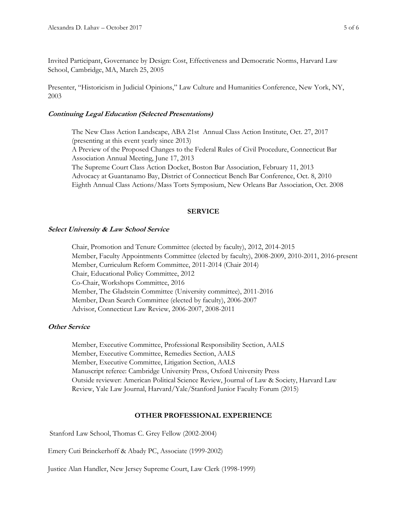Invited Participant, Governance by Design: Cost, Effectiveness and Democratic Norms, Harvard Law School, Cambridge, MA, March 25, 2005

Presenter, "Historicism in Judicial Opinions," Law Culture and Humanities Conference, New York, NY, 2003

### **Continuing Legal Education (Selected Presentations)**

The New Class Action Landscape, ABA 21st Annual Class Action Institute, Oct. 27, 2017 (presenting at this event yearly since 2013) A Preview of the Proposed Changes to the Federal Rules of Civil Procedure, Connecticut Bar Association Annual Meeting, June 17, 2013 The Supreme Court Class Action Docket, Boston Bar Association, February 11, 2013 Advocacy at Guantanamo Bay, District of Connecticut Bench Bar Conference, Oct. 8, 2010 Eighth Annual Class Actions/Mass Torts Symposium, New Orleans Bar Association, Oct. 2008

#### **SERVICE**

#### **Select University & Law School Service**

Chair, Promotion and Tenure Committee (elected by faculty), 2012, 2014-2015 Member, Faculty Appointments Committee (elected by faculty), 2008-2009, 2010-2011, 2016-present Member, Curriculum Reform Committee, 2011-2014 (Chair 2014) Chair, Educational Policy Committee, 2012 Co-Chair, Workshops Committee, 2016 Member, The Gladstein Committee (University committee), 2011-2016 Member, Dean Search Committee (elected by faculty), 2006-2007 Advisor, Connecticut Law Review, 2006-2007, 2008-2011

## **Other Service**

Member, Executive Committee, Professional Responsibility Section, AALS Member, Executive Committee, Remedies Section, AALS Member, Executive Committee, Litigation Section, AALS Manuscript referee: Cambridge University Press, Oxford University Press Outside reviewer: American Political Science Review, Journal of Law & Society, Harvard Law Review, Yale Law Journal, Harvard/Yale/Stanford Junior Faculty Forum (2015)

#### **OTHER PROFESSIONAL EXPERIENCE**

Stanford Law School, Thomas C. Grey Fellow (2002-2004)

Emery Cuti Brinckerhoff & Abady PC, Associate (1999-2002)

Justice Alan Handler, New Jersey Supreme Court, Law Clerk (1998-1999)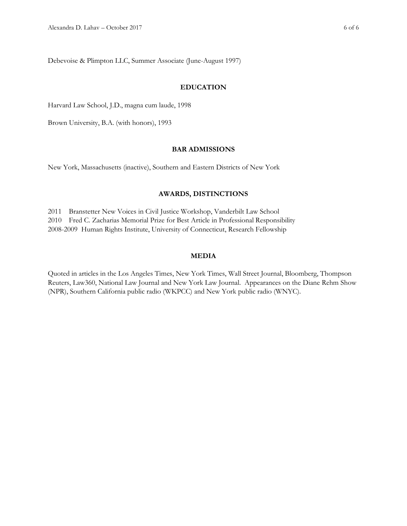Debevoise & Plimpton LLC, Summer Associate (June-August 1997)

#### **EDUCATION**

Harvard Law School, J.D., magna cum laude, 1998

Brown University, B.A. (with honors), 1993

# **BAR ADMISSIONS**

New York, Massachusetts (inactive), Southern and Eastern Districts of New York

# **AWARDS, DISTINCTIONS**

2011 Branstetter New Voices in Civil Justice Workshop, Vanderbilt Law School 2010 Fred C. Zacharias Memorial Prize for Best Article in Professional Responsibility 2008-2009 Human Rights Institute, University of Connecticut, Research Fellowship

### **MEDIA**

Quoted in articles in the Los Angeles Times, New York Times, Wall Street Journal, Bloomberg, Thompson Reuters, Law360, National Law Journal and New York Law Journal. Appearances on the Diane Rehm Show (NPR), Southern California public radio (WKPCC) and New York public radio (WNYC).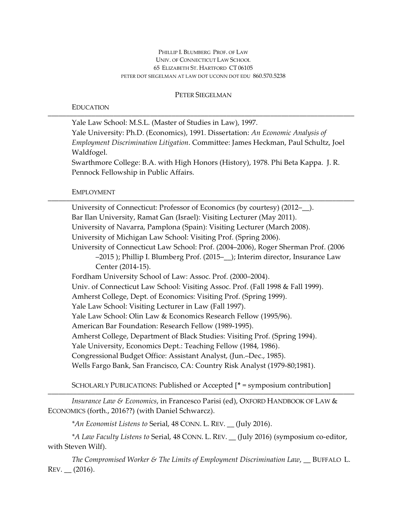### PHILLIP I. BLUMBERG PROF. OF LAW UNIV. OF CONNECTICUT LAW SCHOOL 65 ELIZABETH ST. HARTFORD CT 06105 PETER DOT SIEGELMAN AT LAW DOT UCONN DOT EDU 860.570.5238

# PETER SIEGELMAN

#### EDUCATION \_\_\_\_\_\_\_\_\_\_\_\_\_\_\_\_\_\_\_\_\_\_\_\_\_\_\_\_\_\_\_\_\_\_\_\_\_\_\_\_\_\_\_\_\_\_\_\_\_\_\_\_\_\_\_\_\_\_\_\_\_\_\_\_\_\_\_\_\_\_\_\_\_\_\_\_\_\_\_\_\_\_\_\_

Yale Law School: M.S.L. (Master of Studies in Law), 1997. Yale University: Ph.D. (Economics), 1991. Dissertation: *An Economic Analysis of Employment Discrimination Litigation*. Committee: James Heckman, Paul Schultz, Joel Waldfogel. Swarthmore College: B.A. with High Honors (History), 1978. Phi Beta Kappa. J. R. Pennock Fellowship in Public Affairs.

#### EMPLOYMENT \_\_\_\_\_\_\_\_\_\_\_\_\_\_\_\_\_\_\_\_\_\_\_\_\_\_\_\_\_\_\_\_\_\_\_\_\_\_\_\_\_\_\_\_\_\_\_\_\_\_\_\_\_\_\_\_\_\_\_\_\_\_\_\_\_\_\_\_\_\_\_\_\_\_\_\_\_\_\_\_\_\_\_\_

University of Connecticut: Professor of Economics (by courtesy) (2012–). Bar Ilan University, Ramat Gan (Israel): Visiting Lecturer (May 2011). University of Navarra, Pamplona (Spain): Visiting Lecturer (March 2008). University of Michigan Law School: Visiting Prof. (Spring 2006). University of Connecticut Law School: Prof. (2004–2006), Roger Sherman Prof. (2006 –2015 ); Phillip I. Blumberg Prof. (2015–\_\_); Interim director, Insurance Law Center (2014-15). Fordham University School of Law: Assoc. Prof. (2000–2004). Univ. of Connecticut Law School: Visiting Assoc. Prof. (Fall 1998 & Fall 1999). Amherst College, Dept. of Economics: Visiting Prof. (Spring 1999). Yale Law School: Visiting Lecturer in Law (Fall 1997). Yale Law School: Olin Law & Economics Research Fellow (1995/96). American Bar Foundation: Research Fellow (1989-1995). Amherst College, Department of Black Studies: Visiting Prof. (Spring 1994). Yale University, Economics Dept.: Teaching Fellow (1984, 1986). Congressional Budget Office: Assistant Analyst, (Jun.–Dec., 1985). Wells Fargo Bank, San Francisco, CA: Country Risk Analyst (1979-80;1981).

SCHOLARLY PUBLICATIONS: Published or Accepted [**\*** = symposium contribution]  $\frac{1}{1}$  ,  $\frac{1}{1}$  ,  $\frac{1}{1}$  ,  $\frac{1}{1}$  ,  $\frac{1}{1}$  ,  $\frac{1}{1}$  ,  $\frac{1}{1}$  ,  $\frac{1}{1}$  ,  $\frac{1}{1}$  ,  $\frac{1}{1}$  ,  $\frac{1}{1}$  ,  $\frac{1}{1}$  ,  $\frac{1}{1}$  ,  $\frac{1}{1}$  ,  $\frac{1}{1}$  ,  $\frac{1}{1}$  ,  $\frac{1}{1}$  ,  $\frac{1}{1}$  ,  $\frac{1$ 

*Insurance Law & Economics*, in Francesco Parisi (ed), OXFORD HANDBOOK OF LAW & ECONOMICS (forth., 2016??) (with Daniel Schwarcz).

*\*An Economist Listens to* Serial, 48 CONN. L. REV. \_\_ (July 2016).

*\*A Law Faculty Listens to* Serial, 48 CONN. L. REV. \_\_ (July 2016) (symposium co-editor, with Steven Wilf).

*The Compromised Worker & The Limits of Employment Discrimination Law*, \_\_ BUFFALO L.  $REV.$  (2016).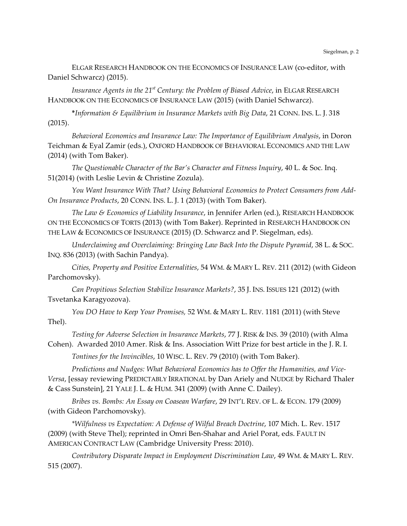ELGAR RESEARCH HANDBOOK ON THE ECONOMICS OF INSURANCE LAW (co-editor, with Daniel Schwarcz) (2015).

*Insurance Agents in the 21st Century: the Problem of Biased Advice*, in ELGAR RESEARCH HANDBOOK ON THE ECONOMICS OF INSURANCE LAW (2015) (with Daniel Schwarcz).

**\****Information & Equilibrium in Insurance Markets with Big Data*, 21 CONN. INS. L. J. 318 (2015).

*Behavioral Economics and Insurance Law: The Importance of Equilibrium Analysis*, in Doron Teichman & Eyal Zamir (eds.), OXFORD HANDBOOK OF BEHAVIORAL ECONOMICS AND THE LAW (2014) (with Tom Baker).

*The Questionable Character of the Bar's Character and Fitness Inquiry*, 40 L. & Soc. Inq. 51(2014) (with Leslie Levin & Christine Zozula).

*You Want Insurance With That? Using Behavioral Economics to Protect Consumers from Add-On Insurance Products*, 20 CONN. INS. L. J. 1 (2013) (with Tom Baker).

*The Law & Economics of Liability Insurance*, in Jennifer Arlen (ed.), RESEARCH HANDBOOK ON THE ECONOMICS OF TORTS (2013) (with Tom Baker). Reprinted in RESEARCH HANDBOOK ON THE LAW & ECONOMICS OF INSURANCE (2015) (D. Schwarcz and P. Siegelman, eds).

*Underclaiming and Overclaiming: Bringing Law Back Into the Dispute Pyramid*, 38 L. & SOC. INQ. 836 (2013) (with Sachin Pandya).

*Cities, Property and Positive Externalities*, 54 WM. & MARY L. REV. 211 (2012) (with Gideon Parchomovsky).

*Can Propitious Selection Stabilize Insurance Markets?*, 35 J. INS. ISSUES 121 (2012) (with Tsvetanka Karagyozova).

*You DO Have to Keep Your Promises,* 52 WM. & MARY L. REV. 1181 (2011) (with Steve Thel).

*Testing for Adverse Selection in Insurance Markets*, 77 J. RISK & INS. 39 (2010) (with Alma Cohen). Awarded 2010 Amer. Risk & Ins. Association Witt Prize for best article in the J. R. I.

*Tontines for the Invincibles*, 10 WISC. L. REV. 79 (2010) (with Tom Baker).

*Predictions and Nudges: What Behavioral Economics has to Offer the Humanities, and Vice-Versa*, [essay reviewing PREDICTABLY IRRATIONAL by Dan Ariely and NUDGE by Richard Thaler & Cass Sunstein], 21 YALE J. L. & HUM. 341 (2009) (with Anne C. Dailey).

*Bribes vs. Bombs: An Essay on Coasean Warfare*, 29 INT'L REV. OF L. & ECON. 179 (2009) (with Gideon Parchomovsky).

*\*Wilfulness vs Expectation: A Defense of Wilful Breach Doctrine*, 107 Mich. L. Rev. 1517 (2009) (with Steve Thel); reprinted in Omri Ben-Shahar and Ariel Porat, eds. FAULT IN AMERICAN CONTRACT LAW (Cambridge University Press: 2010).

*Contributory Disparate Impact in Employment Discrimination Law*, 49 WM. & MARY L. REV. 515 (2007).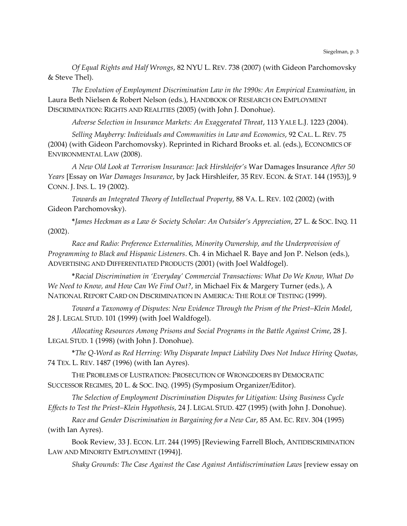*Of Equal Rights and Half Wrongs*, 82 NYU L. REV. 738 (2007) (with Gideon Parchomovsky & Steve Thel).

*The Evolution of Employment Discrimination Law in the 1990s: An Empirical Examination*, in Laura Beth Nielsen & Robert Nelson (eds.), HANDBOOK OF RESEARCH ON EMPLOYMENT DISCRIMINATION: RIGHTS AND REALITIES (2005) (with John J. Donohue).

*Adverse Selection in Insurance Markets: An Exaggerated Threat*, 113 YALE L.J. 1223 (2004).

*Selling Mayberry: Individuals and Communities in Law and Economics*, 92 CAL. L. REV. 75 (2004) (with Gideon Parchomovsky). Reprinted in Richard Brooks et. al. (eds.), ECONOMICS OF ENVIRONMENTAL LAW (2008).

*A New Old Look at Terrorism Insurance: Jack Hirshleifer's* War Damages Insurance *After 50 Years* [Essay on *War Damages Insurance*, by Jack Hirshleifer, 35 REV. ECON. & STAT. 144 (1953)], 9 CONN. J. INS. L. 19 (2002).

*Towards an Integrated Theory of Intellectual Property*, 88 VA. L. REV. 102 (2002) (with Gideon Parchomovsky).

**\****James Heckman as a Law & Society Scholar: An Outsider's Appreciation*, 27 L. & SOC. INQ. 11 (2002).

*Race and Radio: Preference Externalities, Minority Ownership, and the Underprovision of Programming to Black and Hispanic Listeners*. Ch. 4 in Michael R. Baye and Jon P. Nelson (eds.), ADVERTISING AND DIFFERENTIATED PRODUCTS (2001) (with Joel Waldfogel).

**\****Racial Discrimination in 'Everyday' Commercial Transactions: What Do We Know, What Do We Need to Know, and How Can We Find Out?*, in Michael Fix & Margery Turner (eds.), A NATIONAL REPORT CARD ON DISCRIMINATION IN AMERICA: THE ROLE OF TESTING (1999).

*Toward a Taxonomy of Disputes: New Evidence Through the Prism of the Priest–Klein Model*, 28 J. LEGAL STUD. 101 (1999) (with Joel Waldfogel).

*Allocating Resources Among Prisons and Social Programs in the Battle Against Crime*, 28 J. LEGAL STUD. 1 (1998) (with John J. Donohue).

**\****The Q-Word as Red Herring: Why Disparate Impact Liability Does Not Induce Hiring Quotas*, 74 TEX. L. REV. 1487 (1996) (with Ian Ayres).

THE PROBLEMS OF LUSTRATION: PROSECUTION OF WRONGDOERS BY DEMOCRATIC SUCCESSOR REGIMES, 20 L. & SOC. INQ. (1995) (Symposium Organizer/Editor).

*The Selection of Employment Discrimination Disputes for Litigation: Using Business Cycle Effects to Test the Priest–Klein Hypothesis*, 24 J. LEGAL STUD. 427 (1995) (with John J. Donohue).

*Race and Gender Discrimination in Bargaining for a New Car*, 85 AM. EC. REV. 304 (1995) (with Ian Ayres).

Book Review, 33 J. ECON. LIT. 244 (1995) [Reviewing Farrell Bloch, ANTIDISCRIMINATION LAW AND MINORITY EMPLOYMENT (1994)].

*Shaky Grounds: The Case Against the Case Against Antidiscrimination Laws* [review essay on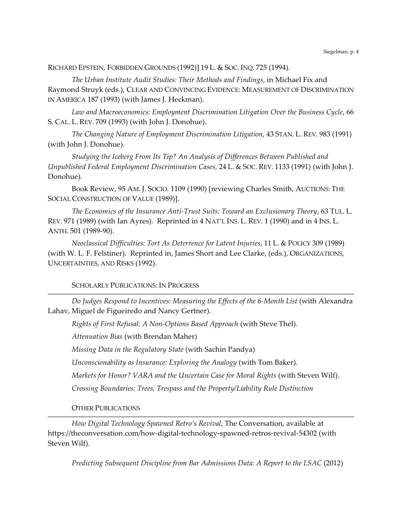RICHARD EPSTEIN, FORBIDDEN GROUNDS (1992)] 19 L. & SOC. INQ. 725 (1994).

*The Urban Institute Audit Studies: Their Methods and Findings*, in Michael Fix and Raymond Struyk (eds.), CLEAR AND CONVINCING EVIDENCE: MEASUREMENT OF DISCRIMINATION IN AMERICA 187 (1993) (with James J. Heckman).

*Law and Macroeconomics: Employment Discrimination Litigation Over the Business Cycle*, 66 S. CAL. L. REV. 709 (1993) (with John J. Donohue).

*The Changing Nature of Employment Discrimination Litigation*, 43 STAN. L. REV. 983 (1991) (with John J. Donohue).

*Studying the Iceberg From Its Tip? An Analysis of Differences Between Published and Unpublished Federal Employment Discrimination Cases*, 24 L. & SOC. REV. 1133 (1991) (with John J. Donohue).

Book Review, 95 AM. J. SOCIO. 1109 (1990) [reviewing Charles Smith, AUCTIONS: THE SOCIAL CONSTRUCTION OF VALUE (1989)].

*The Economics of the Insurance Anti-Trust Suits: Toward an Exclusionary Theory*, 63 TUL. L. REV. 971 (1989) (with Ian Ayres). Reprinted in 4 NAT'L INS. L. REV. 1 (1990) and in 4 INS. L. ANTH. 501 (1989-90).

*Neoclassical Difficulties: Tort As Deterrence for Latent Injuries*, 11 L. & POLICY 309 (1989) (with W. L. F. Felstiner). Reprinted in, James Short and Lee Clarke, (eds.), ORGANIZATIONS, UNCERTAINTIES, AND RISKS (1992).

SCHOLARLY PUBLICATIONS: IN PROGRESS \_\_\_\_\_\_\_\_\_\_\_\_\_\_\_\_\_\_\_\_\_\_\_\_\_\_\_\_\_\_\_\_\_\_\_\_\_\_\_\_\_\_\_\_\_\_\_\_\_\_\_\_\_\_\_\_\_\_\_\_\_\_\_\_\_\_\_\_\_\_\_\_\_\_\_\_\_\_\_\_\_\_\_\_

*Do Judges Respond to Incentives: Measuring the Effects of the 6-Month List* (with Alexandra Lahav, Miguel de Figueiredo and Nancy Gertner).

*Rights of First Refusal: A Non-Options Based Approach* (with Steve Thel).

*Attenuation Bias* (with Brendan Maher)

*Missing Data in the Regulatory State* (with Sachin Pandya)

*Unconscionability as Insurance: Exploring the Analogy* (with Tom Baker).

*Markets for Honor? VARA and the Uncertain Case for Moral Rights* (with Steven Wilf).

*Crossing Boundaries: Trees, Trespass and the Property/Liability Rule Distinction*

OTHER PUBLICATIONS \_\_\_\_\_\_\_\_\_\_\_\_\_\_\_\_\_\_\_\_\_\_\_\_\_\_\_\_\_\_\_\_\_\_\_\_\_\_\_\_\_\_\_\_\_\_\_\_\_\_\_\_\_\_\_\_\_\_\_\_\_\_\_\_\_\_\_\_\_\_\_\_\_\_\_\_\_\_\_\_\_\_\_\_

*How Digital Technology Spawned Retro's Revival*, The Conversation, available at https://theconversation.com/how-digital-technology-spawned-retros-revival-54302 (with Steven Wilf).

*Predicting Subsequent Discipline from Bar Admissions Data: A Report to the LSAC* (2012)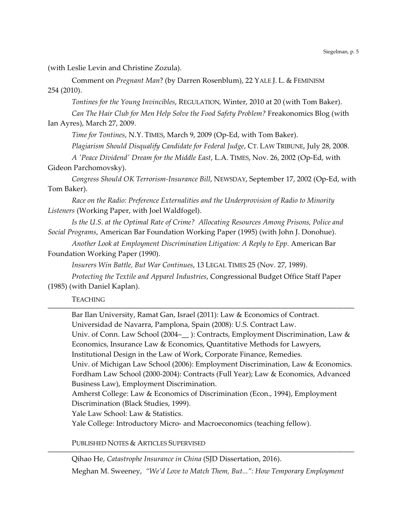(with Leslie Levin and Christine Zozula).

Comment on *Pregnant Man*? (by Darren Rosenblum), 22 YALE J. L. & FEMINISM 254 (2010).

*Tontines for the Young Invincibles*, REGULATION*,* Winter, 2010 at 20 (with Tom Baker).

*Can The Hair Club for Men Help Solve the Food Safety Problem?* Freakonomics Blog (with Ian Ayres), March 27, 2009.

*Time for Tontines*, N.Y. TIMES, March 9, 2009 (Op-Ed, with Tom Baker).

*Plagiarism Should Disqualify Candidate for Federal Judge*, CT. LAW TRIBUNE, July 28, 2008.

*A 'Peace Dividend' Dream for the Middle East*, L.A. TIMES, Nov. 26, 2002 (Op-Ed, with Gideon Parchomovsky).

*Congress Should OK Terrorism-Insurance Bill*, NEWSDAY, September 17, 2002 (Op-Ed, with Tom Baker).

*Race on the Radio: Preference Externalities and the Underprovision of Radio to Minority Listeners* (Working Paper, with Joel Waldfogel).

*Is the U.S. at the Optimal Rate of Crime? Allocating Resources Among Prisons, Police and Social Programs*, American Bar Foundation Working Paper (1995) (with John J. Donohue).

*Another Look at Employment Discrimination Litigation: A Reply to Epp*. American Bar Foundation Working Paper (1990).

*Insurers Win Battle, But War Continues*, 13 LEGAL TIMES 25 (Nov. 27, 1989).

*Protecting the Textile and Apparel Industries*, Congressional Budget Office Staff Paper (1985) (with Daniel Kaplan).

TEACHING \_\_\_\_\_\_\_\_\_\_\_\_\_\_\_\_\_\_\_\_\_\_\_\_\_\_\_\_\_\_\_\_\_\_\_\_\_\_\_\_\_\_\_\_\_\_\_\_\_\_\_\_\_\_\_\_\_\_\_\_\_\_\_\_\_\_\_\_\_\_\_\_\_\_\_\_\_\_\_\_\_\_\_\_

Bar Ilan University, Ramat Gan, Israel (2011): Law & Economics of Contract. Universidad de Navarra, Pamplona, Spain (2008): U.S. Contract Law. Univ. of Conn. Law School (2004–—): Contracts, Employment Discrimination, Law & Economics, Insurance Law & Economics, Quantitative Methods for Lawyers, Institutional Design in the Law of Work, Corporate Finance, Remedies. Univ. of Michigan Law School (2006): Employment Discrimination, Law & Economics. Fordham Law School (2000-2004): Contracts (Full Year); Law & Economics, Advanced Business Law), Employment Discrimination. Amherst College: Law & Economics of Discrimination (Econ., 1994), Employment Discrimination (Black Studies, 1999). Yale Law School: Law & Statistics. Yale College: Introductory Micro- and Macroeconomics (teaching fellow).

PUBLISHED NOTES & ARTICLES SUPERVISED \_\_\_\_\_\_\_\_\_\_\_\_\_\_\_\_\_\_\_\_\_\_\_\_\_\_\_\_\_\_\_\_\_\_\_\_\_\_\_\_\_\_\_\_\_\_\_\_\_\_\_\_\_\_\_\_\_\_\_\_\_\_\_\_\_\_\_\_\_\_\_\_\_\_\_\_\_\_\_\_\_\_\_\_

Qihao He, *Catastrophe Insurance in China* (SJD Dissertation, 2016). Meghan M. Sweeney, *"We'd Love to Match Them, But...": How Temporary Employment*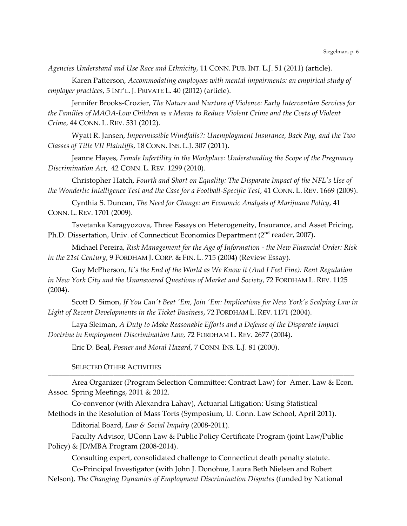*Agencies Understand and Use Race and Ethnicity*, 11 CONN. PUB. INT. L.J. 51 (2011) (article).

Karen Patterson, *Accommodating employees with mental impairments: an empirical study of employer practices*, 5 INT'L. J. PRIVATE L. 40 (2012) (article).

Jennifer Brooks-Crozier, *The Nature and Nurture of Violence: Early Intervention Services for the Families of MAOA-Low Children as a Means to Reduce Violent Crime and the Costs of Violent Crime*, 44 CONN. L. REV. 531 (2012).

Wyatt R. Jansen, *Impermissible Windfalls?: Unemployment Insurance, Back Pay, and the Two Classes of Title VII Plaintiffs*, 18 CONN. INS. L.J. 307 (2011).

Jeanne Hayes, *Female Infertility in the Workplace: Understanding the Scope of the Pregnancy Discrimination Act*, 42 CONN. L. REV. 1299 (2010).

Christopher Hatch, *Fourth and Short on Equality: The Disparate Impact of the NFL's Use of* the Wonderlic Intelligence Test and the Case for a Football-Specific Test, 41 CONN. L. REV. 1669 (2009).

Cynthia S. Duncan, *The Need for Change: an Economic Analysis of Marijuana Policy*, 41 CONN. L. REV. 1701 (2009).

Tsvetanka Karagyozova, Three Essays on Heterogeneity, Insurance, and Asset Pricing, Ph.D. Dissertation, Univ. of Connecticut Economics Department (2<sup>nd</sup> reader, 2007).

Michael Pereira*, Risk Management for the Age of Information - the New Financial Order: Risk in the 21st Century*, 9 FORDHAM J. CORP. & FIN. L. 715 (2004) (Review Essay).

Guy McPherson, *It's the End of the World as We Know it (And I Feel Fine): Rent Regulation in New York City and the Unanswered Questions of Market and Society*, 72 FORDHAM L. REV. 1125 (2004).

Scott D. Simon, *If You Can't Beat 'Em, Join 'Em: Implications for New York's Scalping Law in Light of Recent Developments in the Ticket Business*, 72 FORDHAM L. REV. 1171 (2004).

Laya Sleiman, *A Duty to Make Reasonable Efforts and a Defense of the Disparate Impact Doctrine in Employment Discrimination Law,* 72 FORDHAM L. REV. 2677 (2004).

Eric D. Beal, *Posner and Moral Hazard*, 7 CONN. INS. L.J. 81 (2000).

#### SELECTED OTHER ACTIVITIES \_\_\_\_\_\_\_\_\_\_\_\_\_\_\_\_\_\_\_\_\_\_\_\_\_\_\_\_\_\_\_\_\_\_\_\_\_\_\_\_\_\_\_\_\_\_\_\_\_\_\_\_\_\_\_\_\_\_\_\_\_\_\_\_\_\_\_\_\_\_\_\_\_\_\_\_\_\_\_\_\_\_\_\_

Area Organizer (Program Selection Committee: Contract Law) for Amer. Law & Econ. Assoc. Spring Meetings, 2011 & 2012.

Co-convenor (with Alexandra Lahav), Actuarial Litigation: Using Statistical Methods in the Resolution of Mass Torts (Symposium, U. Conn. Law School, April 2011).

Editorial Board, *Law & Social Inquiry* (2008-2011).

Faculty Advisor, UConn Law & Public Policy Certificate Program (joint Law/Public Policy) & JD/MBA Program (2008-2014).

Consulting expert, consolidated challenge to Connecticut death penalty statute. Co-Principal Investigator (with John J. Donohue, Laura Beth Nielsen and Robert Nelson), *The Changing Dynamics of Employment Discrimination Disputes* (funded by National